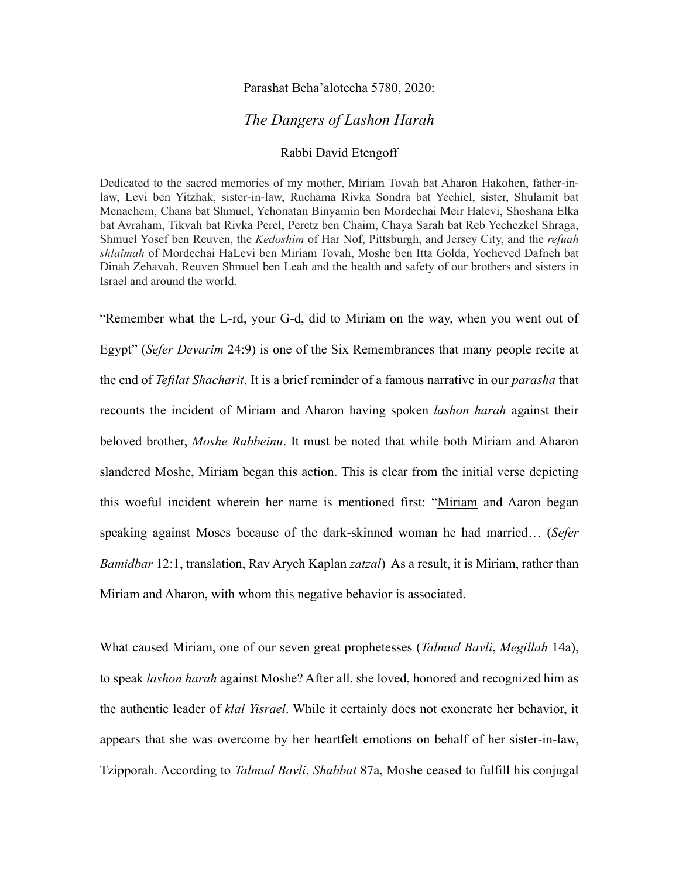## Parashat Beha'alotecha 5780, 2020:

## *The Dangers of Lashon Harah*

## Rabbi David Etengoff

Dedicated to the sacred memories of my mother, Miriam Tovah bat Aharon Hakohen, father-inlaw, Levi ben Yitzhak, sister-in-law, Ruchama Rivka Sondra bat Yechiel, sister, Shulamit bat Menachem, Chana bat Shmuel, Yehonatan Binyamin ben Mordechai Meir Halevi, Shoshana Elka bat Avraham, Tikvah bat Rivka Perel, Peretz ben Chaim, Chaya Sarah bat Reb Yechezkel Shraga, Shmuel Yosef ben Reuven, the *Kedoshim* of Har Nof, Pittsburgh, and Jersey City, and the *refuah shlaimah* of Mordechai HaLevi ben Miriam Tovah, Moshe ben Itta Golda, Yocheved Dafneh bat Dinah Zehavah, Reuven Shmuel ben Leah and the health and safety of our brothers and sisters in Israel and around the world.

"Remember what the L-rd, your G-d, did to Miriam on the way, when you went out of Egypt" (*Sefer Devarim* 24:9) is one of the Six Remembrances that many people recite at the end of *Tefilat Shacharit*. It is a brief reminder of a famous narrative in our *parasha* that recounts the incident of Miriam and Aharon having spoken *lashon harah* against their beloved brother, *Moshe Rabbeinu*. It must be noted that while both Miriam and Aharon slandered Moshe, Miriam began this action. This is clear from the initial verse depicting this woeful incident wherein her name is mentioned first: "Miriam and Aaron began speaking against Moses because of the dark-skinned woman he had married… (*Sefer Bamidbar* 12:1, translation, Rav Aryeh Kaplan *zatzal*) As a result, it is Miriam, rather than Miriam and Aharon, with whom this negative behavior is associated.

What caused Miriam, one of our seven great prophetesses (*Talmud Bavli*, *Megillah* 14a), to speak *lashon harah* against Moshe? After all, she loved, honored and recognized him as the authentic leader of *klal Yisrael*. While it certainly does not exonerate her behavior, it appears that she was overcome by her heartfelt emotions on behalf of her sister-in-law, Tzipporah. According to *Talmud Bavli*, *Shabbat* 87a, Moshe ceased to fulfill his conjugal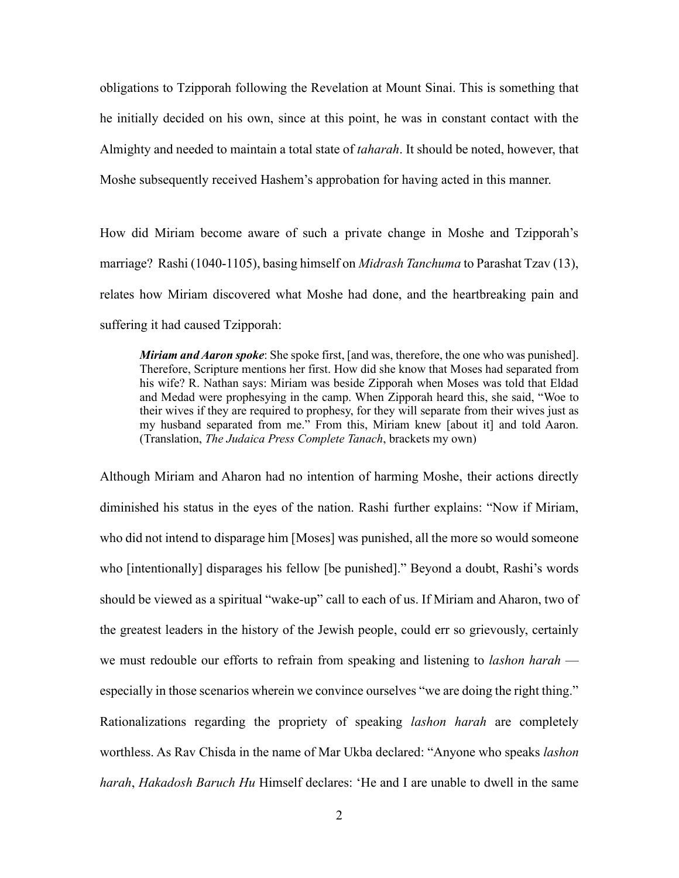obligations to Tzipporah following the Revelation at Mount Sinai. This is something that he initially decided on his own, since at this point, he was in constant contact with the Almighty and needed to maintain a total state of *taharah*. It should be noted, however, that Moshe subsequently received Hashem's approbation for having acted in this manner.

How did Miriam become aware of such a private change in Moshe and Tzipporah's marriage? Rashi (1040-1105), basing himself on *Midrash Tanchuma* to Parashat Tzav (13), relates how Miriam discovered what Moshe had done, and the heartbreaking pain and suffering it had caused Tzipporah:

*Miriam and Aaron spoke*: She spoke first, [and was, therefore, the one who was punished]. Therefore, Scripture mentions her first. How did she know that Moses had separated from his wife? R. Nathan says: Miriam was beside Zipporah when Moses was told that Eldad and Medad were prophesying in the camp. When Zipporah heard this, she said, "Woe to their wives if they are required to prophesy, for they will separate from their wives just as my husband separated from me." From this, Miriam knew [about it] and told Aaron. (Translation, *The Judaica Press Complete Tanach*, brackets my own)

Although Miriam and Aharon had no intention of harming Moshe, their actions directly diminished his status in the eyes of the nation. Rashi further explains: "Now if Miriam, who did not intend to disparage him [Moses] was punished, all the more so would someone who [intentionally] disparages his fellow [be punished]." Beyond a doubt, Rashi's words should be viewed as a spiritual "wake-up" call to each of us. If Miriam and Aharon, two of the greatest leaders in the history of the Jewish people, could err so grievously, certainly we must redouble our efforts to refrain from speaking and listening to *lashon harah*  especially in those scenarios wherein we convince ourselves "we are doing the right thing." Rationalizations regarding the propriety of speaking *lashon harah* are completely worthless. As Rav Chisda in the name of Mar Ukba declared: "Anyone who speaks *lashon harah*, *Hakadosh Baruch Hu* Himself declares: 'He and I are unable to dwell in the same